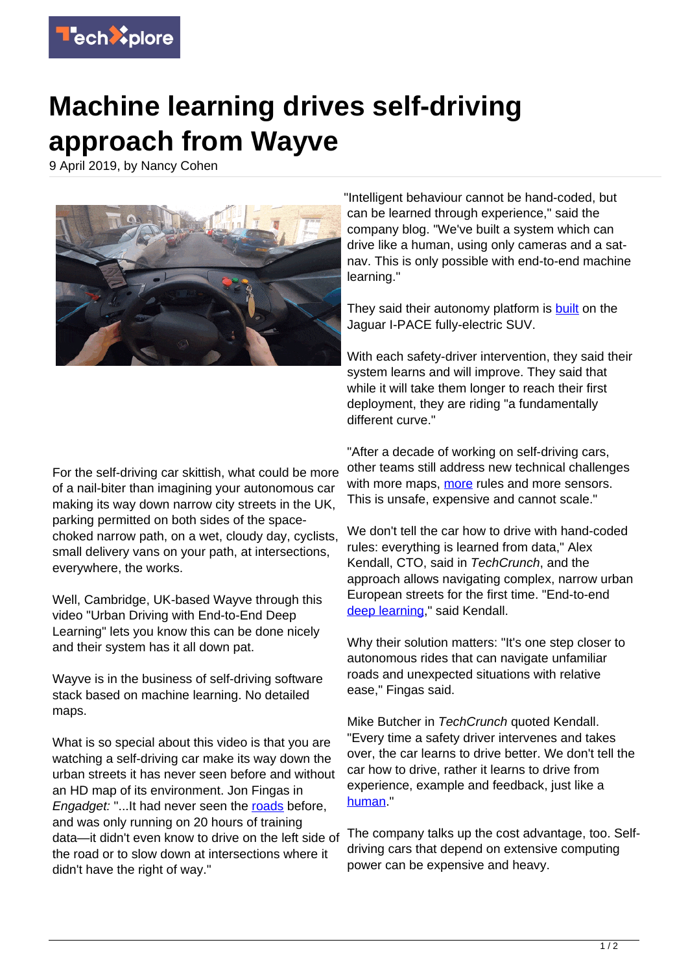

## **Machine learning drives self-driving approach from Wayve**

9 April 2019, by Nancy Cohen



"Intelligent behaviour cannot be hand-coded, but can be learned through experience," said the company blog. "We've built a system which can drive like a human, using only cameras and a satnav. This is only possible with end-to-end machine learning."

They said their autonomy platform is **built** on the Jaguar I-PACE fully-electric SUV.

With each safety-driver intervention, they said their system learns and will improve. They said that while it will take them longer to reach their first deployment, they are riding "a fundamentally different curve."

For the self-driving car skittish, what could be more of a nail-biter than imagining your autonomous car making its way down narrow city streets in the UK, parking permitted on both sides of the spacechoked narrow path, on a wet, cloudy day, cyclists, small delivery vans on your path, at intersections, everywhere, the works.

Well, Cambridge, UK-based Wayve through this video "Urban Driving with End-to-End Deep Learning" lets you know this can be done nicely and their system has it all down pat.

Wayve is in the business of self-driving software stack based on machine learning. No detailed maps.

What is so special about this video is that you are watching a self-driving car make its way down the urban streets it has never seen before and without an HD map of its environment. Jon Fingas in Engadget: "...It had never seen the [roads](https://www.engadget.com/2019/04/03/wayve-self-driving-car-navigates-without-lidar-or-maps/) before, and was only running on 20 hours of training data—it didn't even know to drive on the left side of the road or to slow down at intersections where it didn't have the right of way."

"After a decade of working on self-driving cars, other teams still address new technical challenges with [more](https://wayve.ai/) maps, more rules and more sensors. This is unsafe, expensive and cannot scale."

We don't tell the car how to drive with hand-coded rules: everything is learned from data," Alex Kendall, CTO, said in TechCrunch, and the approach allows navigating complex, narrow urban European streets for the first time. "End-to-end [deep learning](https://techxplore.com/tags/deep+learning/)," said Kendall.

Why their solution matters: "It's one step closer to autonomous rides that can navigate unfamiliar roads and unexpected situations with relative ease," Fingas said.

Mike Butcher in TechCrunch quoted Kendall. "Every time a safety driver intervenes and takes over, the car learns to drive better. We don't tell the car how to drive, rather it learns to drive from experience, example and feedback, just like a [human](https://techcrunch.com/2019/04/03/wayve-claims-world-first-in-driving-a-car-autonomously-with-only-its-ai-and-a-satnav/)."

The company talks up the cost advantage, too. Selfdriving cars that depend on extensive computing power can be expensive and heavy.